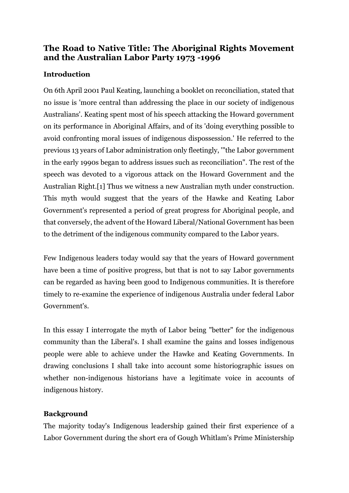# **The Road to Native Title: The Aboriginal Rights Movement and the Australian Labor Party 1973 -1996**

## **Introduction**

On 6th April 2001 Paul Keating, launching a booklet on reconciliation, stated that no issue is 'more central than addressing the place in our society of indigenous Australians'. Keating spent most of his speech attacking the Howard government on its performance in Aboriginal Affairs, and of its 'doing everything possible to avoid confronting moral issues of indigenous dispossession.' He referred to the previous 13 years of Labor administration only fleetingly, '"the Labor government in the early 1990s began to address issues such as reconciliation". The rest of the speech was devoted to a vigorous attack on the Howard Government and the Australian Right.[1] Thus we witness a new Australian myth under construction. This myth would suggest that the years of the Hawke and Keating Labor Government's represented a period of great progress for Aboriginal people, and that conversely, the advent of the Howard Liberal/National Government has been to the detriment of the indigenous community compared to the Labor years.

Few Indigenous leaders today would say that the years of Howard government have been a time of positive progress, but that is not to say Labor governments can be regarded as having been good to Indigenous communities. It is therefore timely to re-examine the experience of indigenous Australia under federal Labor Government's.

In this essay I interrogate the myth of Labor being "better" for the indigenous community than the Liberal's. I shall examine the gains and losses indigenous people were able to achieve under the Hawke and Keating Governments. In drawing conclusions I shall take into account some historiographic issues on whether non-indigenous historians have a legitimate voice in accounts of indigenous history.

## **Background**

The majority today's Indigenous leadership gained their first experience of a Labor Government during the short era of Gough Whitlam's Prime Ministership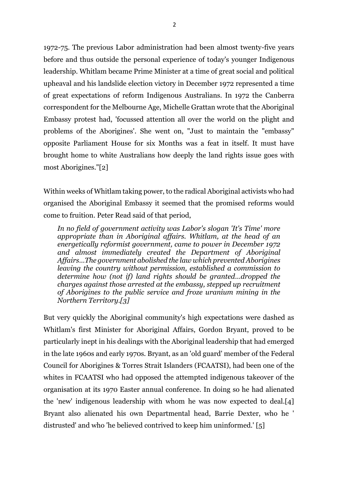1972-75. The previous Labor administration had been almost twenty-five years before and thus outside the personal experience of today's younger Indigenous leadership. Whitlam became Prime Minister at a time of great social and political upheaval and his landslide election victory in December 1972 represented a time of great expectations of reform Indigenous Australians. In 1972 the Canberra correspondent for the Melbourne Age, Michelle Grattan wrote that the Aboriginal Embassy protest had, 'focussed attention all over the world on the plight and problems of the Aborigines'. She went on, "Just to maintain the "embassy" opposite Parliament House for six Months was a feat in itself. It must have brought home to white Australians how deeply the land rights issue goes with most Aborigines."[2]

Within weeks of Whitlam taking power, to the radical Aboriginal activists who had organised the Aboriginal Embassy it seemed that the promised reforms would come to fruition. Peter Read said of that period,

*In no field of government activity was Labor's slogan 'It's Time' more appropriate than in Aboriginal affairs. Whitlam, at the head of an energetically reformist government, came to power in December 1972 and almost immediately created the Department of Aboriginal Affairs…The government abolished the law which prevented Aborigines leaving the country without permission, established a commission to determine how (not if) land rights should be granted…dropped the charges against those arrested at the embassy, stepped up recruitment of Aborigines to the public service and froze uranium mining in the Northern Territory.[3]*

But very quickly the Aboriginal community's high expectations were dashed as Whitlam's first Minister for Aboriginal Affairs, Gordon Bryant, proved to be particularly inept in his dealings with the Aboriginal leadership that had emerged in the late 1960s and early 1970s. Bryant, as an 'old guard' member of the Federal Council for Aborigines & Torres Strait Islanders (FCAATSI), had been one of the whites in FCAATSI who had opposed the attempted indigenous takeover of the organisation at its 1970 Easter annual conference. In doing so he had alienated the 'new' indigenous leadership with whom he was now expected to deal.[4] Bryant also alienated his own Departmental head, Barrie Dexter, who he ' distrusted' and who 'he believed contrived to keep him uninformed.' [5]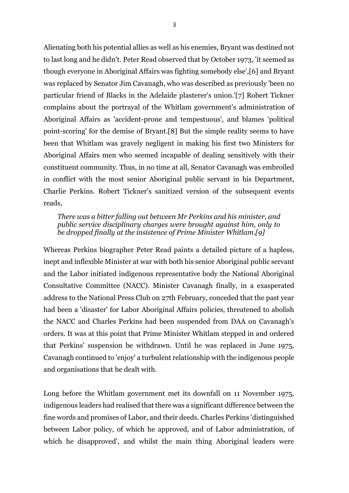Alienating both his potential allies as well as his enemies, Bryant was destined not to last long and he didn't. Peter Read observed that by October 1973, 'it seemed as though everyone in Aboriginal Affairs was fighting somebody else',[6] and Bryant was replaced by Senator Jim Cavanagh, who was described as previously 'been no particular friend of Blacks in the Adelaide plasterer's union.'[7] Robert Tickner complains about the portrayal of the Whitlam government's administration of Aboriginal Affairs as 'accident-prone and tempestuous', and blames 'political point-scoring' for the demise of Bryant.[8] But the simple reality seems to have been that Whitlam was gravely negligent in making his first two Ministers for Aboriginal Affairs men who seemed incapable of dealing sensitively with their constituent community. Thus, in no time at all, Senator Cavanagh was embroiled in conflict with the most senior Aboriginal public servant in his Department, Charlie Perkins. Robert Tickner's sanitized version of the subsequent events reads,

### *There was a bitter falling out between Mr Perkins and his minister, and public service disciplinary charges were brought against him, only to be dropped finally at the insistence of Prime Minister Whitlam.[9]*

Whereas Perkins biographer Peter Read paints a detailed picture of a hapless, inept and inflexible Minister at war with both his senior Aboriginal public servant and the Labor initiated indigenous representative body the National Aboriginal Consultative Committee (NACC). Minister Cavanagh finally, in a exasperated address to the National Press Club on 27th February, conceded that the past year had been a 'disaster' for Labor Aboriginal Affairs policies, threatened to abolish the NACC and Charles Perkins had been suspended from DAA on Cavanagh's orders. It was at this point that Prime Minister Whitlam stepped in and ordered that Perkins' suspension be withdrawn. Until he was replaced in June 1975, Cavanagh continued to 'enjoy' a turbulent relationship with the indigenous people and organisations that he dealt with.

Long before the Whitlam government met its downfall on 11 November 1975, indigenous leaders had realised that there was a significant difference between the fine words and promises of Labor, and their deeds. Charles Perkins 'distinguished between Labor policy, of which he approved, and of Labor administration, of which he disapproved', and whilst the main thing Aboriginal leaders were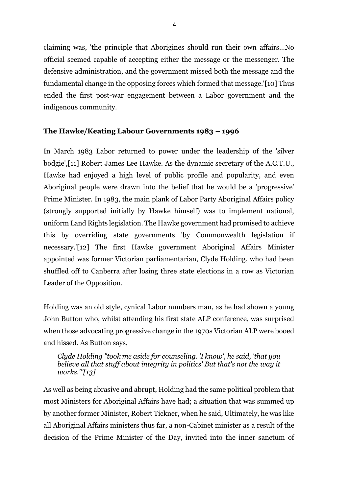claiming was, 'the principle that Aborigines should run their own affairs…No official seemed capable of accepting either the message or the messenger. The defensive administration, and the government missed both the message and the fundamental change in the opposing forces which formed that message.'[10] Thus ended the first post-war engagement between a Labor government and the indigenous community.

## **The Hawke/Keating Labour Governments 1983 – 1996**

In March 1983 Labor returned to power under the leadership of the 'silver bodgie',[11] Robert James Lee Hawke. As the dynamic secretary of the A.C.T.U., Hawke had enjoyed a high level of public profile and popularity, and even Aboriginal people were drawn into the belief that he would be a 'progressive' Prime Minister. In 1983, the main plank of Labor Party Aboriginal Affairs policy (strongly supported initially by Hawke himself) was to implement national, uniform Land Rights legislation. The Hawke government had promised to achieve this by overriding state governments 'by Commonwealth legislation if necessary.'[12] The first Hawke government Aboriginal Affairs Minister appointed was former Victorian parliamentarian, Clyde Holding, who had been shuffled off to Canberra after losing three state elections in a row as Victorian Leader of the Opposition.

Holding was an old style, cynical Labor numbers man, as he had shown a young John Button who, whilst attending his first state ALP conference, was surprised when those advocating progressive change in the 1970s Victorian ALP were booed and hissed. As Button says,

*Clyde Holding "took me aside for counseling. 'I know', he said, 'that you believe all that stuff about integrity in politics' But that's not the way it works.'"[13]*

As well as being abrasive and abrupt, Holding had the same political problem that most Ministers for Aboriginal Affairs have had; a situation that was summed up by another former Minister, Robert Tickner, when he said, Ultimately, he was like all Aboriginal Affairs ministers thus far, a non-Cabinet minister as a result of the decision of the Prime Minister of the Day, invited into the inner sanctum of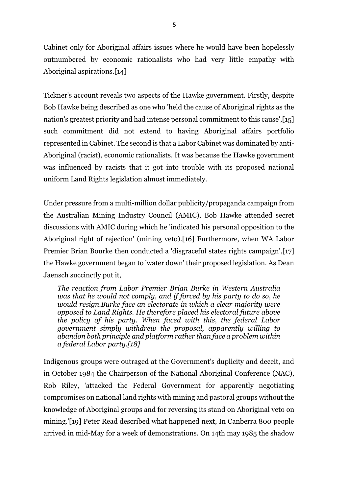Cabinet only for Aboriginal affairs issues where he would have been hopelessly outnumbered by economic rationalists who had very little empathy with Aboriginal aspirations.[14]

Tickner's account reveals two aspects of the Hawke government. Firstly, despite Bob Hawke being described as one who 'held the cause of Aboriginal rights as the nation's greatest priority and had intense personal commitment to this cause',[15] such commitment did not extend to having Aboriginal affairs portfolio represented in Cabinet. The second is that a Labor Cabinet was dominated by anti-Aboriginal (racist), economic rationalists. It was because the Hawke government was influenced by racists that it got into trouble with its proposed national uniform Land Rights legislation almost immediately.

Under pressure from a multi-million dollar publicity/propaganda campaign from the Australian Mining Industry Council (AMIC), Bob Hawke attended secret discussions with AMIC during which he 'indicated his personal opposition to the Aboriginal right of rejection' (mining veto).[16] Furthermore, when WA Labor Premier Brian Bourke then conducted a 'disgraceful states rights campaign',[17] the Hawke government began to 'water down' their proposed legislation. As Dean Jaensch succinctly put it,

*The reaction from Labor Premier Brian Burke in Western Australia was that he would not comply, and if forced by his party to do so, he would resign.Burke face an electorate in which a clear majority were opposed to Land Rights. He therefore placed his electoral future above the policy of his party. When faced with this, the federal Labor government simply withdrew the proposal, apparently willing to abandon both principle and platform rather than face a problem within a federal Labor party.[18]*

Indigenous groups were outraged at the Government's duplicity and deceit, and in October 1984 the Chairperson of the National Aboriginal Conference (NAC), Rob Riley, 'attacked the Federal Government for apparently negotiating compromises on national land rights with mining and pastoral groups without the knowledge of Aboriginal groups and for reversing its stand on Aboriginal veto on mining.'[19] Peter Read described what happened next, In Canberra 800 people arrived in mid-May for a week of demonstrations. On 14th may 1985 the shadow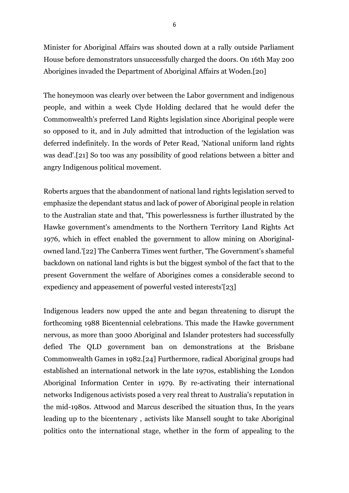Minister for Aboriginal Affairs was shouted down at a rally outside Parliament House before demonstrators unsuccessfully charged the doors. On 16th May 200 Aborigines invaded the Department of Aboriginal Affairs at Woden.[20]

The honeymoon was clearly over between the Labor government and indigenous people, and within a week Clyde Holding declared that he would defer the Commonwealth's preferred Land Rights legislation since Aboriginal people were so opposed to it, and in July admitted that introduction of the legislation was deferred indefinitely. In the words of Peter Read, 'National uniform land rights was dead'.[21] So too was any possibility of good relations between a bitter and angry Indigenous political movement.

Roberts argues that the abandonment of national land rights legislation served to emphasize the dependant status and lack of power of Aboriginal people in relation to the Australian state and that, 'This powerlessness is further illustrated by the Hawke government's amendments to the Northern Territory Land Rights Act 1976, which in effect enabled the government to allow mining on Aboriginalowned land.'[22] The Canberra Times went further, 'The Government's shameful backdown on national land rights is but the biggest symbol of the fact that to the present Government the welfare of Aborigines comes a considerable second to expediency and appeasement of powerful vested interests'[23]

Indigenous leaders now upped the ante and began threatening to disrupt the forthcoming 1988 Bicentennial celebrations. This made the Hawke government nervous, as more than 3000 Aboriginal and Islander protesters had successfully defied The QLD government ban on demonstrations at the Brisbane Commonwealth Games in 1982.[24] Furthermore, radical Aboriginal groups had established an international network in the late 1970s, establishing the London Aboriginal Information Center in 1979. By re-activating their international networks Indigenous activists posed a very real threat to Australia's reputation in the mid-1980s. Attwood and Marcus described the situation thus, In the years leading up to the bicentenary , activists like Mansell sought to take Aboriginal politics onto the international stage, whether in the form of appealing to the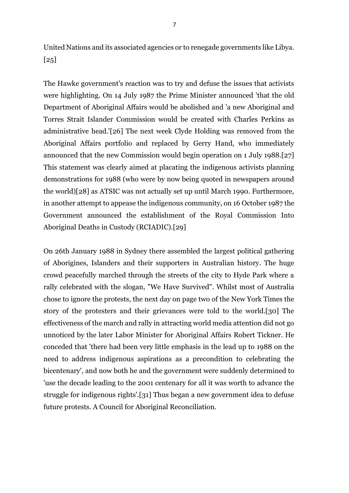United Nations and its associated agencies or to renegade governments like Libya. [25]

The Hawke government's reaction was to try and defuse the issues that activists were highlighting. On 14 July 1987 the Prime Minister announced 'that the old Department of Aboriginal Affairs would be abolished and 'a new Aboriginal and Torres Strait Islander Commission would be created with Charles Perkins as administrative head.'[26] The next week Clyde Holding was removed from the Aboriginal Affairs portfolio and replaced by Gerry Hand, who immediately announced that the new Commission would begin operation on 1 July 1988.[27] This statement was clearly aimed at placating the indigenous activists planning demonstrations for 1988 (who were by now being quoted in newspapers around the world)[28] as ATSIC was not actually set up until March 1990. Furthermore, in another attempt to appease the indigenous community, on 16 October 1987 the Government announced the establishment of the Royal Commission Into Aboriginal Deaths in Custody (RCIADIC).[29]

On 26th January 1988 in Sydney there assembled the largest political gathering of Aborigines, Islanders and their supporters in Australian history. The huge crowd peacefully marched through the streets of the city to Hyde Park where a rally celebrated with the slogan, "We Have Survived". Whilst most of Australia chose to ignore the protests, the next day on page two of the New York Times the story of the protesters and their grievances were told to the world.[30] The effectiveness of the march and rally in attracting world media attention did not go unnoticed by the later Labor Minister for Aboriginal Affairs Robert Tickner. He conceded that 'there had been very little emphasis in the lead up to 1988 on the need to address indigenous aspirations as a precondition to celebrating the bicentenary', and now both he and the government were suddenly determined to 'use the decade leading to the 2001 centenary for all it was worth to advance the struggle for indigenous rights'.[31] Thus began a new government idea to defuse future protests. A Council for Aboriginal Reconciliation.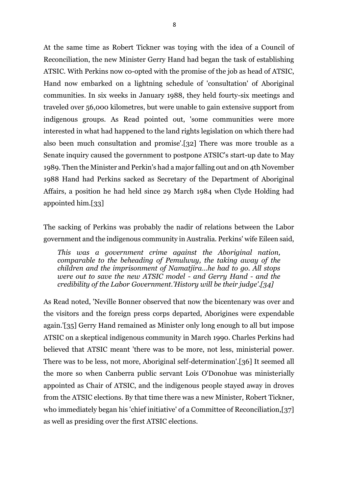At the same time as Robert Tickner was toying with the idea of a Council of Reconciliation, the new Minister Gerry Hand had began the task of establishing ATSIC. With Perkins now co-opted with the promise of the job as head of ATSIC, Hand now embarked on a lightning schedule of 'consultation' of Aboriginal communities. In six weeks in January 1988, they held fourty-six meetings and traveled over 56,000 kilometres, but were unable to gain extensive support from indigenous groups. As Read pointed out, 'some communities were more interested in what had happened to the land rights legislation on which there had also been much consultation and promise'.[32] There was more trouble as a Senate inquiry caused the government to postpone ATSIC's start-up date to May 1989. Then the Minister and Perkin's had a major falling out and on 4th November 1988 Hand had Perkins sacked as Secretary of the Department of Aboriginal Affairs, a position he had held since 29 March 1984 when Clyde Holding had appointed him.[33]

The sacking of Perkins was probably the nadir of relations between the Labor government and the indigenous community in Australia. Perkins' wife Eileen said,

*This was a government crime against the Aboriginal nation, comparable to the beheading of Pemulwuy, the taking away of the children and the imprisonment of Namatjira…he had to go. All stops were out to save the new ATSIC model - and Gerry Hand - and the credibility of the Labor Government.'History will be their judge'.[34]*

As Read noted, 'Neville Bonner observed that now the bicentenary was over and the visitors and the foreign press corps departed, Aborigines were expendable again.'[35] Gerry Hand remained as Minister only long enough to all but impose ATSIC on a skeptical indigenous community in March 1990. Charles Perkins had believed that ATSIC meant 'there was to be more, not less, ministerial power. There was to be less, not more, Aboriginal self-determination'.[36] It seemed all the more so when Canberra public servant Lois O'Donohue was ministerially appointed as Chair of ATSIC, and the indigenous people stayed away in droves from the ATSIC elections. By that time there was a new Minister, Robert Tickner, who immediately began his 'chief initiative' of a Committee of Reconciliation,[37] as well as presiding over the first ATSIC elections.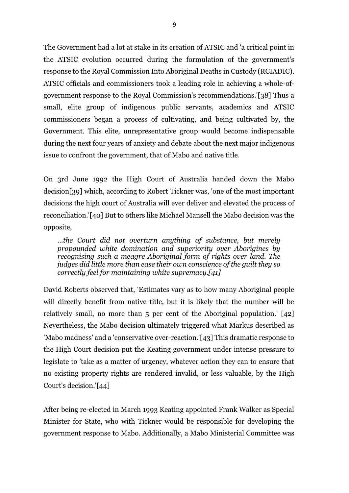The Government had a lot at stake in its creation of ATSIC and 'a critical point in the ATSIC evolution occurred during the formulation of the government's response to the Royal Commission Into Aboriginal Deaths in Custody (RCIADIC). ATSIC officials and commissioners took a leading role in achieving a whole-ofgovernment response to the Royal Commission's recommendations.'[38] Thus a small, elite group of indigenous public servants, academics and ATSIC commissioners began a process of cultivating, and being cultivated by, the Government. This elite, unrepresentative group would become indispensable during the next four years of anxiety and debate about the next major indigenous issue to confront the government, that of Mabo and native title.

On 3rd June 1992 the High Court of Australia handed down the Mabo decision[39] which, according to Robert Tickner was, 'one of the most important decisions the high court of Australia will ever deliver and elevated the process of reconciliation.'[40] But to others like Michael Mansell the Mabo decision was the opposite,

*...the Court did not overturn anything of substance, but merely propounded white domination and superiority over Aborigines by recognising such a meagre Aboriginal form of rights over land. The judges did little more than ease their own conscience of the guilt they so correctly feel for maintaining white supremacy.[41]*

David Roberts observed that, 'Estimates vary as to how many Aboriginal people will directly benefit from native title, but it is likely that the number will be relatively small, no more than 5 per cent of the Aboriginal population.' [42] Nevertheless, the Mabo decision ultimately triggered what Markus described as 'Mabo madness' and a 'conservative over-reaction.'[43] This dramatic response to the High Court decision put the Keating government under intense pressure to legislate to 'take as a matter of urgency, whatever action they can to ensure that no existing property rights are rendered invalid, or less valuable, by the High Court's decision.'[44]

After being re-elected in March 1993 Keating appointed Frank Walker as Special Minister for State, who with Tickner would be responsible for developing the government response to Mabo. Additionally, a Mabo Ministerial Committee was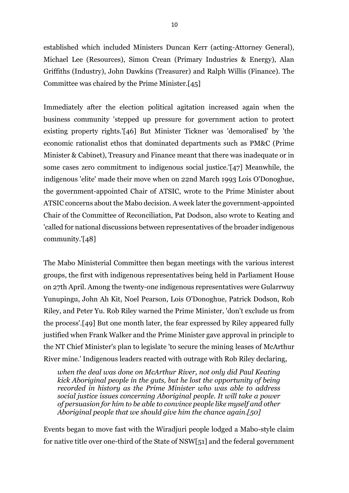established which included Ministers Duncan Kerr (acting-Attorney General), Michael Lee (Resources), Simon Crean (Primary Industries & Energy), Alan Griffiths (Industry), John Dawkins (Treasurer) and Ralph Willis (Finance). The Committee was chaired by the Prime Minister.[45]

Immediately after the election political agitation increased again when the business community 'stepped up pressure for government action to protect existing property rights.'[46] But Minister Tickner was 'demoralised' by 'the economic rationalist ethos that dominated departments such as PM&C (Prime Minister & Cabinet), Treasury and Finance meant that there was inadequate or in some cases zero commitment to indigenous social justice.'[47] Meanwhile, the indigenous 'elite' made their move when on 22nd March 1993 Lois O'Donoghue, the government-appointed Chair of ATSIC, wrote to the Prime Minister about ATSIC concerns about the Mabo decision. A week later the government-appointed Chair of the Committee of Reconciliation, Pat Dodson, also wrote to Keating and 'called for national discussions between representatives of the broader indigenous community.'[48]

The Mabo Ministerial Committee then began meetings with the various interest groups, the first with indigenous representatives being held in Parliament House on 27th April. Among the twenty-one indigenous representatives were Gularrwuy Yunupingu, John Ah Kit, Noel Pearson, Lois O'Donoghue, Patrick Dodson, Rob Riley, and Peter Yu. Rob Riley warned the Prime Minister, 'don't exclude us from the process'.[49] But one month later, the fear expressed by Riley appeared fully justified when Frank Walker and the Prime Minister gave approval in principle to the NT Chief Minister's plan to legislate 'to secure the mining leases of McArthur River mine.' Indigenous leaders reacted with outrage with Rob Riley declaring,

*when the deal was done on McArthur River, not only did Paul Keating kick Aboriginal people in the guts, but he lost the opportunity of being recorded in history as the Prime Minister who was able to address social justice issues concerning Aboriginal people. It will take a power of persuasion for him to be able to convince people like myself and other Aboriginal people that we should give him the chance again.[50]*

Events began to move fast with the Wiradjuri people lodged a Mabo-style claim for native title over one-third of the State of NSW[51] and the federal government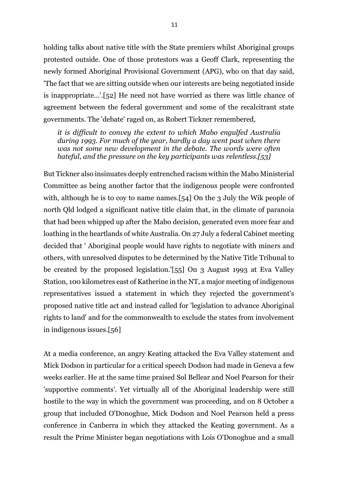holding talks about native title with the State premiers whilst Aboriginal groups protested outside. One of those protestors was a Geoff Clark, representing the newly formed Aboriginal Provisional Government (APG), who on that day said, 'The fact that we are sitting outside when our interests are being negotiated inside is inappropriate…'.[52] He need not have worried as there was little chance of agreement between the federal government and some of the recalcitrant state governments. The 'debate' raged on, as Robert Tickner remembered,

*it is difficult to convey the extent to which Mabo engulfed Australia during 1993. For much of the year, hardly a day went past when there was not some new development in the debate. The words were often hateful, and the pressure on the key participants was relentless.[53]*

But Tickner also insinuates deeply entrenched racism within the Mabo Ministerial Committee as being another factor that the indigenous people were confronted with, although he is to coy to name names.[54] On the 3 July the Wik people of north Qld lodged a significant native title claim that, in the climate of paranoia that had been whipped up after the Mabo decision, generated even more fear and loathing in the heartlands of white Australia. On 27 July a federal Cabinet meeting decided that ' Aboriginal people would have rights to negotiate with miners and others, with unresolved disputes to be determined by the Native Title Tribunal to be created by the proposed legislation.'[55] On 3 August 1993 at Eva Valley Station, 100 kilometres east of Katherine in the NT, a major meeting of indigenous representatives issued a statement in which they rejected the government's proposed native title act and instead called for 'legislation to advance Aboriginal rights to land' and for the commonwealth to exclude the states from involvement in indigenous issues.[56]

At a media conference, an angry Keating attacked the Eva Valley statement and Mick Dodson in particular for a critical speech Dodson had made in Geneva a few weeks earlier. He at the same time praised Sol Bellear and Noel Pearson for their 'supportive comments'. Yet virtually all of the Aboriginal leadership were still hostile to the way in which the government was proceeding, and on 8 October a group that included O'Donoghue, Mick Dodson and Noel Pearson held a press conference in Canberra in which they attacked the Keating government. As a result the Prime Minister began negotiations with Lois O'Donoghue and a small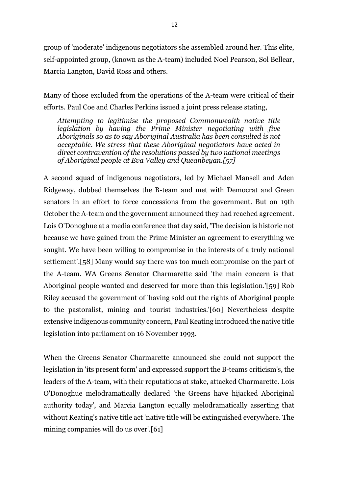group of 'moderate' indigenous negotiators she assembled around her. This elite, self-appointed group, (known as the A-team) included Noel Pearson, Sol Bellear, Marcia Langton, David Ross and others.

Many of those excluded from the operations of the A-team were critical of their efforts. Paul Coe and Charles Perkins issued a joint press release stating,

*Attempting to legitimise the proposed Commonwealth native title legislation by having the Prime Minister negotiating with five Aboriginals so as to say Aboriginal Australia has been consulted is not acceptable. We stress that these Aboriginal negotiators have acted in direct contravention of the resolutions passed by two national meetings of Aboriginal people at Eva Valley and Queanbeyan.[57]*

A second squad of indigenous negotiators, led by Michael Mansell and Aden Ridgeway, dubbed themselves the B-team and met with Democrat and Green senators in an effort to force concessions from the government. But on 19th October the A-team and the government announced they had reached agreement. Lois O'Donoghue at a media conference that day said, 'The decision is historic not because we have gained from the Prime Minister an agreement to everything we sought. We have been willing to compromise in the interests of a truly national settlement'.[58] Many would say there was too much compromise on the part of the A-team. WA Greens Senator Charmarette said 'the main concern is that Aboriginal people wanted and deserved far more than this legislation.'[59] Rob Riley accused the government of 'having sold out the rights of Aboriginal people to the pastoralist, mining and tourist industries.'[60] Nevertheless despite extensive indigenous community concern, Paul Keating introduced the native title legislation into parliament on 16 November 1993.

When the Greens Senator Charmarette announced she could not support the legislation in 'its present form' and expressed support the B-teams criticism's, the leaders of the A-team, with their reputations at stake, attacked Charmarette. Lois O'Donoghue melodramatically declared 'the Greens have hijacked Aboriginal authority today', and Marcia Langton equally melodramatically asserting that without Keating's native title act 'native title will be extinguished everywhere. The mining companies will do us over'.[61]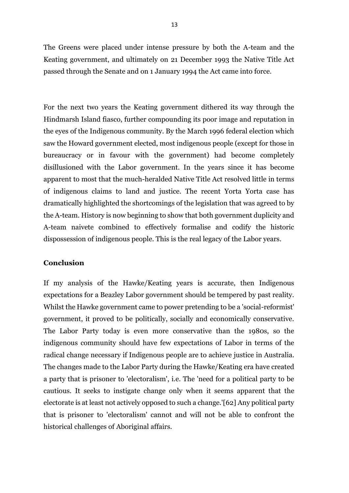The Greens were placed under intense pressure by both the A-team and the Keating government, and ultimately on 21 December 1993 the Native Title Act passed through the Senate and on 1 January 1994 the Act came into force.

For the next two years the Keating government dithered its way through the Hindmarsh Island fiasco, further compounding its poor image and reputation in the eyes of the Indigenous community. By the March 1996 federal election which saw the Howard government elected, most indigenous people (except for those in bureaucracy or in favour with the government) had become completely disillusioned with the Labor government. In the years since it has become apparent to most that the much-heralded Native Title Act resolved little in terms of indigenous claims to land and justice. The recent Yorta Yorta case has dramatically highlighted the shortcomings of the legislation that was agreed to by the A-team. History is now beginning to show that both government duplicity and A-team naivete combined to effectively formalise and codify the historic dispossession of indigenous people. This is the real legacy of the Labor years.

### **Conclusion**

If my analysis of the Hawke/Keating years is accurate, then Indigenous expectations for a Beazley Labor government should be tempered by past reality. Whilst the Hawke government came to power pretending to be a 'social-reformist' government, it proved to be politically, socially and economically conservative. The Labor Party today is even more conservative than the 1980s, so the indigenous community should have few expectations of Labor in terms of the radical change necessary if Indigenous people are to achieve justice in Australia. The changes made to the Labor Party during the Hawke/Keating era have created a party that is prisoner to 'electoralism', i.e. The 'need for a political party to be cautious. It seeks to instigate change only when it seems apparent that the electorate is at least not actively opposed to such a change.'[62] Any political party that is prisoner to 'electoralism' cannot and will not be able to confront the historical challenges of Aboriginal affairs.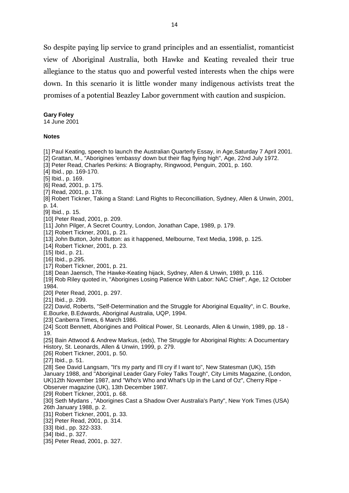So despite paying lip service to grand principles and an essentialist, romanticist view of Aboriginal Australia, both Hawke and Keating revealed their true allegiance to the status quo and powerful vested interests when the chips were down. In this scenario it is little wonder many indigenous activists treat the promises of a potential Beazley Labor government with caution and suspicion.

#### **Gary Foley**

14 June 2001

#### **Notes**

[1] Paul Keating, speech to launch the Australian Quarterly Essay, in Age,Saturday 7 April 2001. [2] Grattan, M., "Aborigines 'embassy' down but their flag flying high", Age, 22nd July 1972. [3] Peter Read, Charles Perkins: A Biography, Ringwood, Penguin, 2001, p. 160. [4] Ibid., pp. 169-170. [5] Ibid., p. 169. [6] Read, 2001, p. 175. [7] Read, 2001, p. 178. [8] Robert Tickner, Taking a Stand: Land Rights to Reconcilliation, Sydney, Allen & Unwin, 2001, p. 14. [9] Ibid., p. 15. [10] Peter Read, 2001, p. 209. [11] John Pilger, A Secret Country, London, Jonathan Cape, 1989, p. 179. [12] Robert Tickner, 2001, p. 21. [13] John Button, John Button: as it happened, Melbourne, Text Media, 1998, p. 125. [14] Robert Tickner, 2001, p. 23. [15] Ibid., p. 21. [16] Ibid., p.295. [17] Robert Tickner, 2001, p. 21. [18] Dean Jaensch, The Hawke-Keating hijack, Sydney, Allen & Unwin, 1989, p. 116. [19] Rob Riley quoted in, "Aborigines Losing Patience With Labor: NAC Chief", Age, 12 October 1984. [20] Peter Read, 2001, p. 297. [21] Ibid., p. 299. [22] David, Roberts, "Self-Determination and the Struggle for Aboriginal Equality", in C. Bourke, E.Bourke, B.Edwards, Aboriginal Australia, UQP, 1994. [23] Canberra Times, 6 March 1986. [24] Scott Bennett, Aborigines and Political Power, St. Leonards, Allen & Unwin, 1989, pp. 18 - 19. [25] Bain Attwood & Andrew Markus, (eds), The Struggle for Aboriginal Rights: A Documentary History, St. Leonards, Allen & Unwin, 1999, p. 279. [26] Robert Tickner, 2001, p. 50. [27] Ibid., p. 51. [28] See David Langsam, "It's my party and I'll cry if I want to", New Statesman (UK), 15th January 1988, and "Aboriginal Leader Gary Foley Talks Tough", City Limits Magazine, (London, UK)12th November 1987, and "Who's Who and What's Up in the Land of Oz", Cherry Ripe - Observer magazine (UK), 13th December 1987. [29] Robert Tickner, 2001, p. 68. [30] Seth Mydans , "Aborigines Cast a Shadow Over Australia's Party", New York Times (USA) 26th January 1988, p. 2. [31] Robert Tickner, 2001, p. 33. [32] Peter Read, 2001, p. 314. [33] Ibid., pp. 322-333. [34] Ibid., p. 327. [35] Peter Read, 2001, p. 327.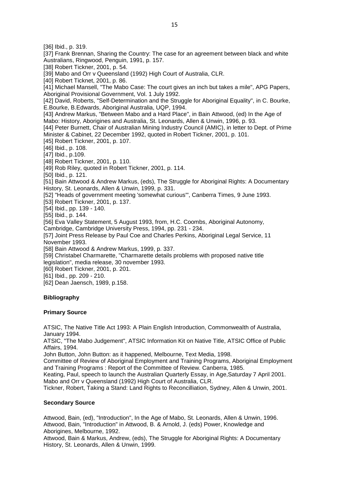[36] Ibid., p. 319. [37] Frank Brennan, Sharing the Country: The case for an agreement between black and white Australians, Ringwood, Penguin, 1991, p. 157. [38] Robert Tickner, 2001, p. 54. [39] Mabo and Orr v Queensland (1992) High Court of Australia, CLR. [40] Robert Ticknet, 2001, p. 86. [41] Michael Mansell, "The Mabo Case: The court gives an inch but takes a mile", APG Papers, Aboriginal Provisional Government, Vol. 1 July 1992. [42] David, Roberts, "Self-Determination and the Struggle for Aboriginal Equality", in C. Bourke, E.Bourke, B.Edwards, Aboriginal Australia, UQP, 1994. [43] Andrew Markus, "Between Mabo and a Hard Place", in Bain Attwood, (ed) In the Age of Mabo: History, Aborigines and Australia, St. Leonards, Allen & Unwin, 1996, p. 93. [44] Peter Burnett, Chair of Australian Mining Industry Council (AMIC), in letter to Dept. of Prime Minister & Cabinet, 22 December 1992, quoted in Robert Tickner, 2001, p. 101. [45] Robert Tickner, 2001, p. 107. [46] Ibid., p. 108. [47] Ibid., p.109. [48] Robert Tickner, 2001, p. 110. [49] Rob Riley, quoted in Robert Tickner, 2001, p. 114. [50] Ibid., p. 121. [51] Bain Attwood & Andrew Markus, (eds), The Struggle for Aboriginal Rights: A Documentary History, St. Leonards, Allen & Unwin, 1999, p. 331. [52] "Heads of government meeting 'somewhat curious'", Canberra Times, 9 June 1993. [53] Robert Tickner, 2001, p. 137. [54] Ibid., pp. 139 - 140. [55] Ibid., p. 144. [56] Eva Valley Statement, 5 August 1993, from, H.C. Coombs, Aboriginal Autonomy, Cambridge, Cambridge University Press, 1994, pp. 231 - 234. [57] Joint Press Release by Paul Coe and Charles Perkins, Aboriginal Legal Service, 11 November 1993. [58] Bain Attwood & Andrew Markus, 1999, p. 337. [59] Christabel Charmarette, "Charmarette details problems with proposed native title legislation", media release, 30 november 1993. [60] Robert Tickner, 2001, p. 201. [61] Ibid., pp. 209 - 210. [62] Dean Jaensch, 1989, p.158.

### **Bibliography**

#### **Primary Source**

ATSIC, The Native Title Act 1993: A Plain English Introduction, Commonwealth of Australia, January 1994.

ATSIC, "The Mabo Judgement", ATSIC Information Kit on Native Title, ATSIC Office of Public Affairs, 1994.

John Button, John Button: as it happened, Melbourne, Text Media, 1998.

Committee of Review of Aboriginal Employment and Training Programs, Aboriginal Employment and Training Programs : Report of the Committee of Review. Canberra, 1985.

Keating, Paul, speech to launch the Australian Quarterly Essay, in Age,Saturday 7 April 2001. Mabo and Orr v Queensland (1992) High Court of Australia, CLR.

Tickner, Robert, Taking a Stand: Land Rights to Reconcilliation, Sydney, Allen & Unwin, 2001.

#### **Secondary Source**

Attwood, Bain, (ed), "Introduction", In the Age of Mabo, St. Leonards, Allen & Unwin, 1996. Attwood, Bain, "Introduction" in Attwood, B. & Arnold, J. (eds) Power, Knowledge and Aborigines, Melbourne, 1992.

Attwood, Bain & Markus, Andrew, (eds), The Struggle for Aboriginal Rights: A Documentary History, St. Leonards, Allen & Unwin, 1999.